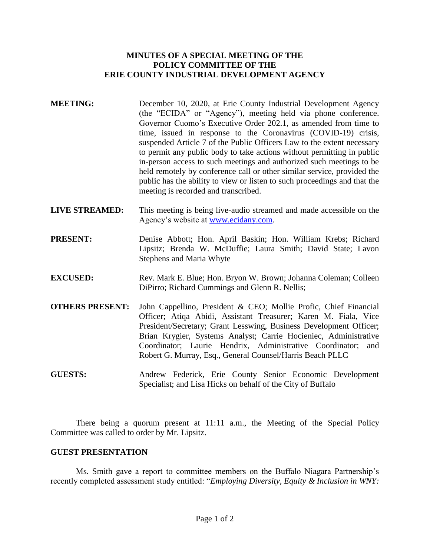## **MINUTES OF A SPECIAL MEETING OF THE POLICY COMMITTEE OF THE ERIE COUNTY INDUSTRIAL DEVELOPMENT AGENCY**

- **MEETING:** December 10, 2020, at Erie County Industrial Development Agency (the "ECIDA" or "Agency"), meeting held via phone conference. Governor Cuomo's Executive Order 202.1, as amended from time to time, issued in response to the Coronavirus (COVID-19) crisis, suspended Article 7 of the Public Officers Law to the extent necessary to permit any public body to take actions without permitting in public in-person access to such meetings and authorized such meetings to be held remotely by conference call or other similar service, provided the public has the ability to view or listen to such proceedings and that the meeting is recorded and transcribed.
- **LIVE STREAMED:** This meeting is being live-audio streamed and made accessible on the Agency's website at [www.ecidany.com.](http://www.ecidany.com/)
- PRESENT: Denise Abbott; Hon. April Baskin; Hon. William Krebs; Richard Lipsitz; Brenda W. McDuffie; Laura Smith; David State; Lavon Stephens and Maria Whyte
- **EXCUSED:** Rev. Mark E. Blue; Hon. Bryon W. Brown; Johanna Coleman; Colleen DiPirro; Richard Cummings and Glenn R. Nellis;
- **OTHERS PRESENT:** John Cappellino, President & CEO; Mollie Profic, Chief Financial Officer; Atiqa Abidi, Assistant Treasurer; Karen M. Fiala, Vice President/Secretary; Grant Lesswing, Business Development Officer; Brian Krygier, Systems Analyst; Carrie Hocieniec, Administrative Coordinator; Laurie Hendrix, Administrative Coordinator; and Robert G. Murray, Esq., General Counsel/Harris Beach PLLC
- **GUESTS:** Andrew Federick, Erie County Senior Economic Development Specialist; and Lisa Hicks on behalf of the City of Buffalo

There being a quorum present at 11:11 a.m., the Meeting of the Special Policy Committee was called to order by Mr. Lipsitz.

## **GUEST PRESENTATION**

Ms. Smith gave a report to committee members on the Buffalo Niagara Partnership's recently completed assessment study entitled: "*Employing Diversity, Equity & Inclusion in WNY:*